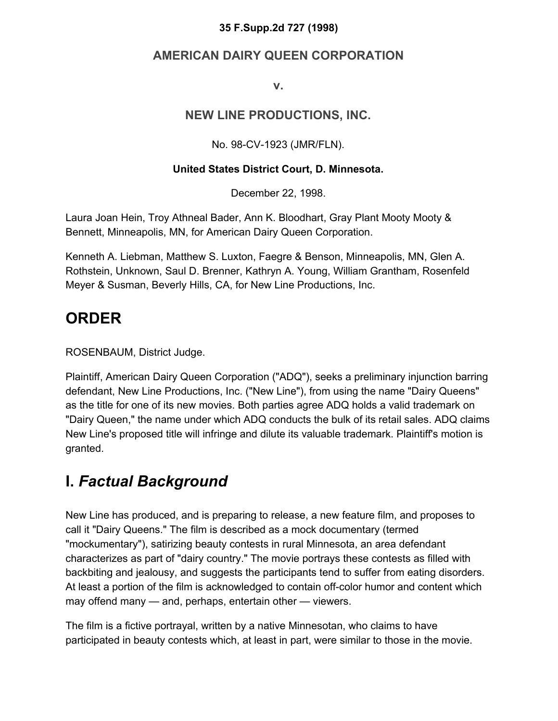#### **35 F.Supp.2d 727 (1998)**

#### **AMERICAN DAIRY QUEEN CORPORATION**

**v.**

#### **NEW LINE PRODUCTIONS, INC.**

No. 98-CV-1923 (JMR/FLN).

#### **United States District Court, D. Minnesota.**

December 22, 1998.

Laura Joan Hein, Troy Athneal Bader, Ann K. Bloodhart, Gray Plant Mooty Mooty & Bennett, Minneapolis, MN, for American Dairy Queen Corporation.

Kenneth A. Liebman, Matthew S. Luxton, Faegre & Benson, Minneapolis, MN, Glen A. Rothstein, Unknown, Saul D. Brenner, Kathryn A. Young, William Grantham, Rosenfeld Meyer & Susman, Beverly Hills, CA, for New Line Productions, Inc.

#### **ORDER**

ROSENBAUM, District Judge.

Plaintiff, American Dairy Queen Corporation ("ADQ"), seeks a preliminary injunction barring defendant, New Line Productions, Inc. ("New Line"), from using the name "Dairy Queens" as the title for one of its new movies. Both parties agree ADQ holds a valid trademark on "Dairy Queen," the name under which ADQ conducts the bulk of its retail sales. ADQ claims New Line's proposed title will infringe and dilute its valuable trademark. Plaintiff's motion is granted.

#### **I.** *Factual Background*

New Line has produced, and is preparing to release, a new feature film, and proposes to call it "Dairy Queens." The film is described as a mock documentary (termed "mockumentary"), satirizing beauty contests in rural Minnesota, an area defendant characterizes as part of "dairy country." The movie portrays these contests as filled with backbiting and jealousy, and suggests the participants tend to suffer from eating disorders. At least a portion of the film is acknowledged to contain off-color humor and content which may offend many — and, perhaps, entertain other — viewers.

The film is a fictive portrayal, written by a native Minnesotan, who claims to have participated in beauty contests which, at least in part, were similar to those in the movie.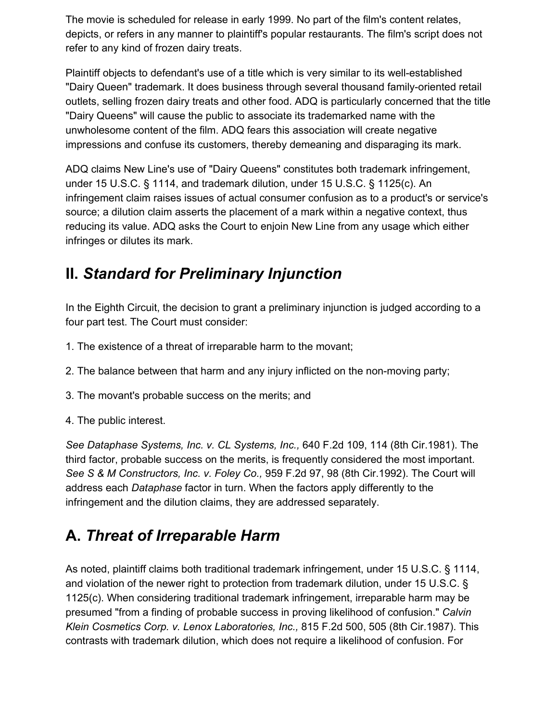The movie is scheduled for release in early 1999. No part of the film's content relates, depicts, or refers in any manner to plaintiff's popular restaurants. The film's script does not refer to any kind of frozen dairy treats.

Plaintiff objects to defendant's use of a title which is very similar to its well-established "Dairy Queen" trademark. It does business through several thousand family-oriented retail outlets, selling frozen dairy treats and other food. ADQ is particularly concerned that the title "Dairy Queens" will cause the public to associate its trademarked name with the unwholesome content of the film. ADQ fears this association will create negative impressions and confuse its customers, thereby demeaning and disparaging its mark.

ADQ claims New Line's use of "Dairy Queens" constitutes both trademark infringement, under 15 U.S.C. § 1114, and trademark dilution, under 15 U.S.C. § 1125(c). An infringement claim raises issues of actual consumer confusion as to a product's or service's source; a dilution claim asserts the placement of a mark within a negative context, thus reducing its value. ADQ asks the Court to enjoin New Line from any usage which either infringes or dilutes its mark.

#### **II.** *Standard for Preliminary Injunction*

In the Eighth Circuit, the decision to grant a preliminary injunction is judged according to a four part test. The Court must consider:

- 1. The existence of a threat of irreparable harm to the movant;
- 2. The balance between that harm and any injury inflicted on the non-moving party;
- 3. The movant's probable success on the merits; and
- 4. The public interest.

*See Dataphase Systems, Inc. v. CL Systems, Inc.,* 640 F.2d 109, 114 (8th Cir.1981). The third factor, probable success on the merits, is frequently considered the most important. *See S & M Constructors, Inc. v. Foley Co.,* 959 F.2d 97, 98 (8th Cir.1992). The Court will address each *Dataphase* factor in turn. When the factors apply differently to the infringement and the dilution claims, they are addressed separately.

## **A.** *Threat of Irreparable Harm*

As noted, plaintiff claims both traditional trademark infringement, under 15 U.S.C. § 1114, and violation of the newer right to protection from trademark dilution, under 15 U.S.C. § 1125(c). When considering traditional trademark infringement, irreparable harm may be presumed "from a finding of probable success in proving likelihood of confusion." *Calvin Klein Cosmetics Corp. v. Lenox Laboratories, Inc.,* 815 F.2d 500, 505 (8th Cir.1987). This contrasts with trademark dilution, which does not require a likelihood of confusion. For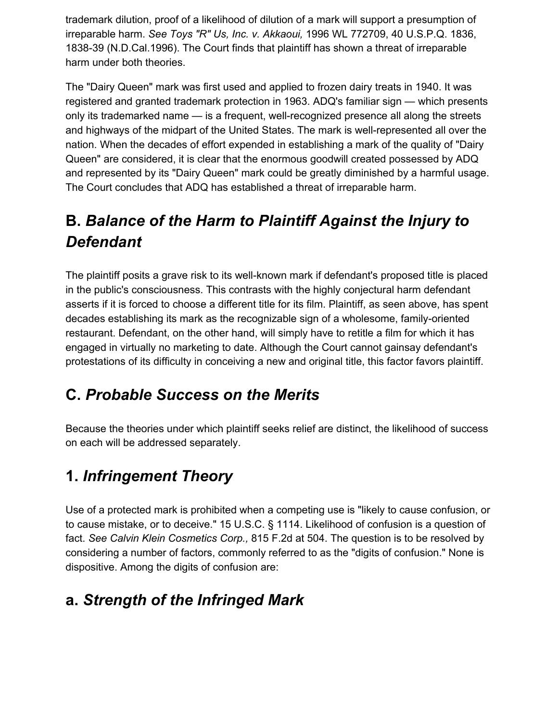trademark dilution, proof of a likelihood of dilution of a mark will support a presumption of irreparable harm. *See Toys "R" Us, Inc. v. Akkaoui,* 1996 WL 772709, 40 U.S.P.Q. 1836, 1838-39 (N.D.Cal.1996). The Court finds that plaintiff has shown a threat of irreparable harm under both theories.

The "Dairy Queen" mark was first used and applied to frozen dairy treats in 1940. It was registered and granted trademark protection in 1963. ADQ's familiar sign — which presents only its trademarked name — is a frequent, well-recognized presence all along the streets and highways of the midpart of the United States. The mark is well-represented all over the nation. When the decades of effort expended in establishing a mark of the quality of "Dairy Queen" are considered, it is clear that the enormous goodwill created possessed by ADQ and represented by its "Dairy Queen" mark could be greatly diminished by a harmful usage. The Court concludes that ADQ has established a threat of irreparable harm.

# **B.** *Balance of the Harm to Plaintiff Against the Injury to Defendant*

The plaintiff posits a grave risk to its well-known mark if defendant's proposed title is placed in the public's consciousness. This contrasts with the highly conjectural harm defendant asserts if it is forced to choose a different title for its film. Plaintiff, as seen above, has spent decades establishing its mark as the recognizable sign of a wholesome, family-oriented restaurant. Defendant, on the other hand, will simply have to retitle a film for which it has engaged in virtually no marketing to date. Although the Court cannot gainsay defendant's protestations of its difficulty in conceiving a new and original title, this factor favors plaintiff.

## **C.** *Probable Success on the Merits*

Because the theories under which plaintiff seeks relief are distinct, the likelihood of success on each will be addressed separately.

## **1.** *Infringement Theory*

Use of a protected mark is prohibited when a competing use is "likely to cause confusion, or to cause mistake, or to deceive." 15 U.S.C. § 1114. Likelihood of confusion is a question of fact. *See Calvin Klein Cosmetics Corp.,* 815 F.2d at 504. The question is to be resolved by considering a number of factors, commonly referred to as the "digits of confusion." None is dispositive. Among the digits of confusion are:

## **a.** *Strength of the Infringed Mark*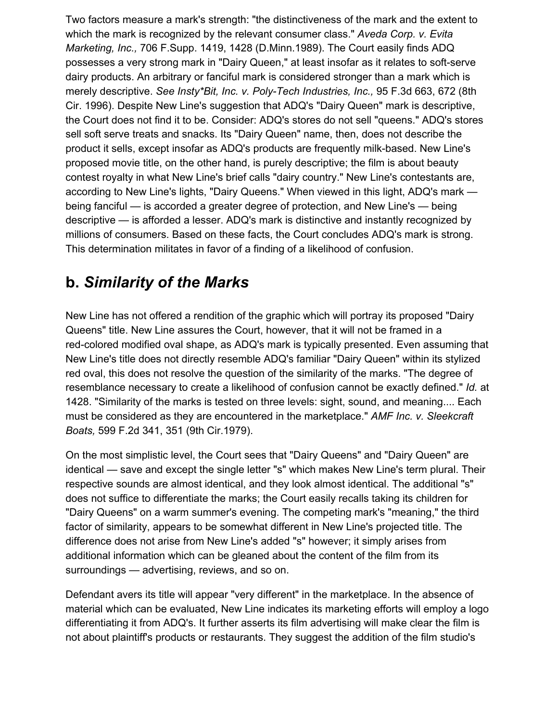Two factors measure a mark's strength: "the distinctiveness of the mark and the extent to which the mark is recognized by the relevant consumer class." *Aveda Corp. v. Evita Marketing, Inc.,* 706 F.Supp. 1419, 1428 (D.Minn.1989). The Court easily finds ADQ possesses a very strong mark in "Dairy Queen," at least insofar as it relates to soft-serve dairy products. An arbitrary or fanciful mark is considered stronger than a mark which is merely descriptive. *See Insty\*Bit, Inc. v. Poly-Tech Industries, Inc.,* 95 F.3d 663, 672 (8th Cir. 1996). Despite New Line's suggestion that ADQ's "Dairy Queen" mark is descriptive, the Court does not find it to be. Consider: ADQ's stores do not sell "queens." ADQ's stores sell soft serve treats and snacks. Its "Dairy Queen" name, then, does not describe the product it sells, except insofar as ADQ's products are frequently milk-based. New Line's proposed movie title, on the other hand, is purely descriptive; the film is about beauty contest royalty in what New Line's brief calls "dairy country." New Line's contestants are, according to New Line's lights, "Dairy Queens." When viewed in this light, ADQ's mark being fanciful — is accorded a greater degree of protection, and New Line's — being descriptive — is afforded a lesser. ADQ's mark is distinctive and instantly recognized by millions of consumers. Based on these facts, the Court concludes ADQ's mark is strong. This determination militates in favor of a finding of a likelihood of confusion.

#### **b.** *Similarity of the Marks*

New Line has not offered a rendition of the graphic which will portray its proposed "Dairy Queens" title. New Line assures the Court, however, that it will not be framed in a red-colored modified oval shape, as ADQ's mark is typically presented. Even assuming that New Line's title does not directly resemble ADQ's familiar "Dairy Queen" within its stylized red oval, this does not resolve the question of the similarity of the marks. "The degree of resemblance necessary to create a likelihood of confusion cannot be exactly defined." *Id.* at 1428. "Similarity of the marks is tested on three levels: sight, sound, and meaning.... Each must be considered as they are encountered in the marketplace." *AMF Inc. v. Sleekcraft Boats,* 599 F.2d 341, 351 (9th Cir.1979).

On the most simplistic level, the Court sees that "Dairy Queens" and "Dairy Queen" are identical — save and except the single letter "s" which makes New Line's term plural. Their respective sounds are almost identical, and they look almost identical. The additional "s" does not suffice to differentiate the marks; the Court easily recalls taking its children for "Dairy Queens" on a warm summer's evening. The competing mark's "meaning," the third factor of similarity, appears to be somewhat different in New Line's projected title. The difference does not arise from New Line's added "s" however; it simply arises from additional information which can be gleaned about the content of the film from its surroundings — advertising, reviews, and so on.

Defendant avers its title will appear "very different" in the marketplace. In the absence of material which can be evaluated, New Line indicates its marketing efforts will employ a logo differentiating it from ADQ's. It further asserts its film advertising will make clear the film is not about plaintiff's products or restaurants. They suggest the addition of the film studio's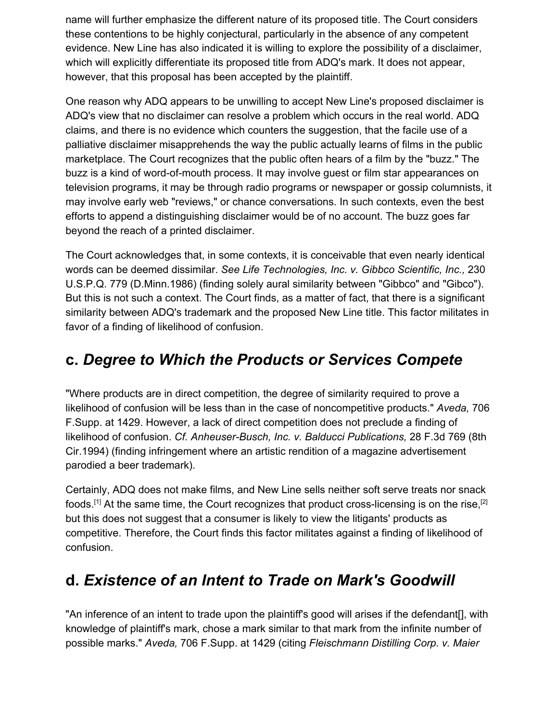name will further emphasize the different nature of its proposed title. The Court considers these contentions to be highly conjectural, particularly in the absence of any competent evidence. New Line has also indicated it is willing to explore the possibility of a disclaimer, which will explicitly differentiate its proposed title from ADQ's mark. It does not appear, however, that this proposal has been accepted by the plaintiff.

One reason why ADQ appears to be unwilling to accept New Line's proposed disclaimer is ADQ's view that no disclaimer can resolve a problem which occurs in the real world. ADQ claims, and there is no evidence which counters the suggestion, that the facile use of a palliative disclaimer misapprehends the way the public actually learns of films in the public marketplace. The Court recognizes that the public often hears of a film by the "buzz." The buzz is a kind of word-of-mouth process. It may involve guest or film star appearances on television programs, it may be through radio programs or newspaper or gossip columnists, it may involve early web "reviews," or chance conversations. In such contexts, even the best efforts to append a distinguishing disclaimer would be of no account. The buzz goes far beyond the reach of a printed disclaimer.

The Court acknowledges that, in some contexts, it is conceivable that even nearly identical words can be deemed dissimilar. *See Life Technologies, Inc. v. Gibbco Scientific, Inc.,* 230 U.S.P.Q. 779 (D.Minn.1986) (finding solely aural similarity between "Gibbco" and "Gibco"). But this is not such a context. The Court finds, as a matter of fact, that there is a significant similarity between ADQ's trademark and the proposed New Line title. This factor militates in favor of a finding of likelihood of confusion.

#### **c.** *Degree to Which the Products or Services Compete*

"Where products are in direct competition, the degree of similarity required to prove a likelihood of confusion will be less than in the case of noncompetitive products." *Aveda,* 706 F.Supp. at 1429. However, a lack of direct competition does not preclude a finding of likelihood of confusion. *Cf. Anheuser-Busch, Inc. v. Balducci Publications,* 28 F.3d 769 (8th Cir.1994) (finding infringement where an artistic rendition of a magazine advertisement parodied a beer trademark).

Certainly, ADQ does not make films, and New Line sells neither soft serve treats nor snack foods.<sup>[1]</sup> At the same time, the Court recognizes that product cross-licensing is on the rise,<sup>[2]</sup> but this does not suggest that a consumer is likely to view the litigants' products as competitive. Therefore, the Court finds this factor militates against a finding of likelihood of confusion.

#### **d.** *Existence of an Intent to Trade on Mark's Goodwill*

"An inference of an intent to trade upon the plaintiff's good will arises if the defendant[], with knowledge of plaintiff's mark, chose a mark similar to that mark from the infinite number of possible marks." *Aveda,* 706 F.Supp. at 1429 (citing *Fleischmann Distilling Corp. v. Maier*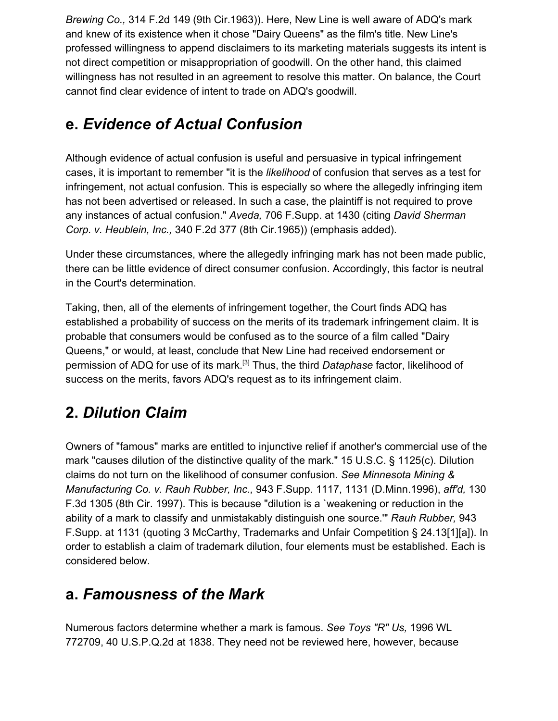*Brewing Co.,* 314 F.2d 149 (9th Cir.1963)). Here, New Line is well aware of ADQ's mark and knew of its existence when it chose "Dairy Queens" as the film's title. New Line's professed willingness to append disclaimers to its marketing materials suggests its intent is not direct competition or misappropriation of goodwill. On the other hand, this claimed willingness has not resulted in an agreement to resolve this matter. On balance, the Court cannot find clear evidence of intent to trade on ADQ's goodwill.

#### **e.** *Evidence of Actual Confusion*

Although evidence of actual confusion is useful and persuasive in typical infringement cases, it is important to remember "it is the *likelihood* of confusion that serves as a test for infringement, not actual confusion. This is especially so where the allegedly infringing item has not been advertised or released. In such a case, the plaintiff is not required to prove any instances of actual confusion." *Aveda,* 706 F.Supp. at 1430 (citing *David Sherman Corp. v. Heublein, Inc.,* 340 F.2d 377 (8th Cir.1965)) (emphasis added).

Under these circumstances, where the allegedly infringing mark has not been made public, there can be little evidence of direct consumer confusion. Accordingly, this factor is neutral in the Court's determination.

Taking, then, all of the elements of infringement together, the Court finds ADQ has established a probability of success on the merits of its trademark infringement claim. It is probable that consumers would be confused as to the source of a film called "Dairy Queens," or would, at least, conclude that New Line had received endorsement or permission of ADQ for use of its mark.[3] Thus, the third *Dataphase* factor, likelihood of success on the merits, favors ADQ's request as to its infringement claim.

## **2.** *Dilution Claim*

Owners of "famous" marks are entitled to injunctive relief if another's commercial use of the mark "causes dilution of the distinctive quality of the mark." 15 U.S.C. § 1125(c). Dilution claims do not turn on the likelihood of consumer confusion. *See Minnesota Mining & Manufacturing Co. v. Rauh Rubber, Inc.,* 943 F.Supp. 1117, 1131 (D.Minn.1996), *aff'd,* 130 F.3d 1305 (8th Cir. 1997). This is because "dilution is a `weakening or reduction in the ability of a mark to classify and unmistakably distinguish one source.'" *Rauh Rubber,* 943 F.Supp. at 1131 (quoting 3 McCarthy, Trademarks and Unfair Competition § 24.13[1][a]). In order to establish a claim of trademark dilution, four elements must be established. Each is considered below.

#### **a.** *Famousness of the Mark*

Numerous factors determine whether a mark is famous. *See Toys "R" Us,* 1996 WL 772709, 40 U.S.P.Q.2d at 1838. They need not be reviewed here, however, because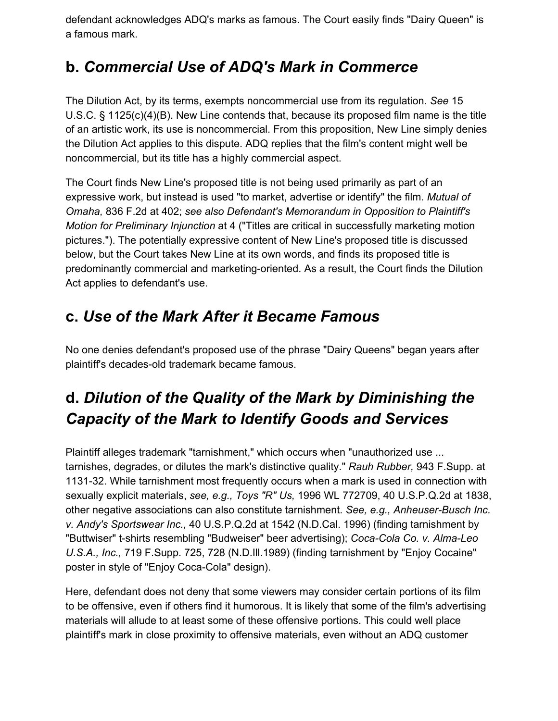defendant acknowledges ADQ's marks as famous. The Court easily finds "Dairy Queen" is a famous mark.

#### **b.** *Commercial Use of ADQ's Mark in Commerce*

The Dilution Act, by its terms, exempts noncommercial use from its regulation. *See* 15 U.S.C. § 1125(c)(4)(B). New Line contends that, because its proposed film name is the title of an artistic work, its use is noncommercial. From this proposition, New Line simply denies the Dilution Act applies to this dispute. ADQ replies that the film's content might well be noncommercial, but its title has a highly commercial aspect.

The Court finds New Line's proposed title is not being used primarily as part of an expressive work, but instead is used "to market, advertise or identify" the film. *Mutual of Omaha,* 836 F.2d at 402; *see also Defendant's Memorandum in Opposition to Plaintiff's Motion for Preliminary Injunction* at 4 ("Titles are critical in successfully marketing motion pictures."). The potentially expressive content of New Line's proposed title is discussed below, but the Court takes New Line at its own words, and finds its proposed title is predominantly commercial and marketing-oriented. As a result, the Court finds the Dilution Act applies to defendant's use.

#### **c.** *Use of the Mark After it Became Famous*

No one denies defendant's proposed use of the phrase "Dairy Queens" began years after plaintiff's decades-old trademark became famous.

# **d.** *Dilution of the Quality of the Mark by Diminishing the Capacity of the Mark to Identify Goods and Services*

Plaintiff alleges trademark "tarnishment," which occurs when "unauthorized use ... tarnishes, degrades, or dilutes the mark's distinctive quality." *Rauh Rubber,* 943 F.Supp. at 1131-32. While tarnishment most frequently occurs when a mark is used in connection with sexually explicit materials, *see, e.g., Toys "R" Us,* 1996 WL 772709, 40 U.S.P.Q.2d at 1838, other negative associations can also constitute tarnishment. *See, e.g., Anheuser-Busch Inc. v. Andy's Sportswear Inc.,* 40 U.S.P.Q.2d at 1542 (N.D.Cal. 1996) (finding tarnishment by "Buttwiser" t-shirts resembling "Budweiser" beer advertising); *Coca-Cola Co. v. Alma-Leo U.S.A., Inc.,* 719 F.Supp. 725, 728 (N.D.Ill.1989) (finding tarnishment by "Enjoy Cocaine" poster in style of "Enjoy Coca-Cola" design).

Here, defendant does not deny that some viewers may consider certain portions of its film to be offensive, even if others find it humorous. It is likely that some of the film's advertising materials will allude to at least some of these offensive portions. This could well place plaintiff's mark in close proximity to offensive materials, even without an ADQ customer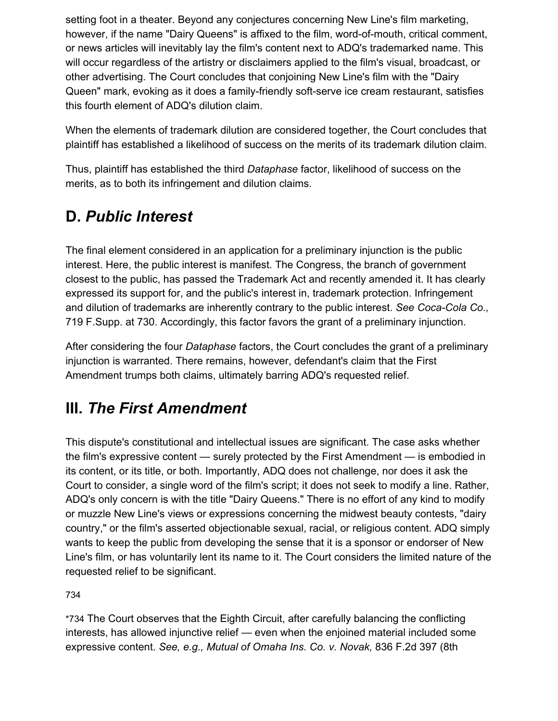setting foot in a theater. Beyond any conjectures concerning New Line's film marketing, however, if the name "Dairy Queens" is affixed to the film, word-of-mouth, critical comment, or news articles will inevitably lay the film's content next to ADQ's trademarked name. This will occur regardless of the artistry or disclaimers applied to the film's visual, broadcast, or other advertising. The Court concludes that conjoining New Line's film with the "Dairy Queen" mark, evoking as it does a family-friendly soft-serve ice cream restaurant, satisfies this fourth element of ADQ's dilution claim.

When the elements of trademark dilution are considered together, the Court concludes that plaintiff has established a likelihood of success on the merits of its trademark dilution claim.

Thus, plaintiff has established the third *Dataphase* factor, likelihood of success on the merits, as to both its infringement and dilution claims.

## **D.** *Public Interest*

The final element considered in an application for a preliminary injunction is the public interest. Here, the public interest is manifest. The Congress, the branch of government closest to the public, has passed the Trademark Act and recently amended it. It has clearly expressed its support for, and the public's interest in, trademark protection. Infringement and dilution of trademarks are inherently contrary to the public interest. *See Coca-Cola Co.,* 719 F.Supp. at 730. Accordingly, this factor favors the grant of a preliminary injunction.

After considering the four *Dataphase* factors, the Court concludes the grant of a preliminary injunction is warranted. There remains, however, defendant's claim that the First Amendment trumps both claims, ultimately barring ADQ's requested relief.

## **III.** *The First Amendment*

This dispute's constitutional and intellectual issues are significant. The case asks whether the film's expressive content — surely protected by the First Amendment — is embodied in its content, or its title, or both. Importantly, ADQ does not challenge, nor does it ask the Court to consider, a single word of the film's script; it does not seek to modify a line. Rather, ADQ's only concern is with the title "Dairy Queens." There is no effort of any kind to modify or muzzle New Line's views or expressions concerning the midwest beauty contests, "dairy country," or the film's asserted objectionable sexual, racial, or religious content. ADQ simply wants to keep the public from developing the sense that it is a sponsor or endorser of New Line's film, or has voluntarily lent its name to it. The Court considers the limited nature of the requested relief to be significant.

73[4](https://scholar.google.com/scholar_case?case=3013879970936816562&q=new+line+cinema&hl=en&as_sdt=6,33#p734)

\*734 The Court observes that the Eighth Circuit, after carefully balancing the conflicting interests, has allowed injunctive relief — even when the enjoined material included some expressive content. *See, e.g., Mutual of Omaha Ins. Co. v. Novak,* 836 F.2d 397 (8th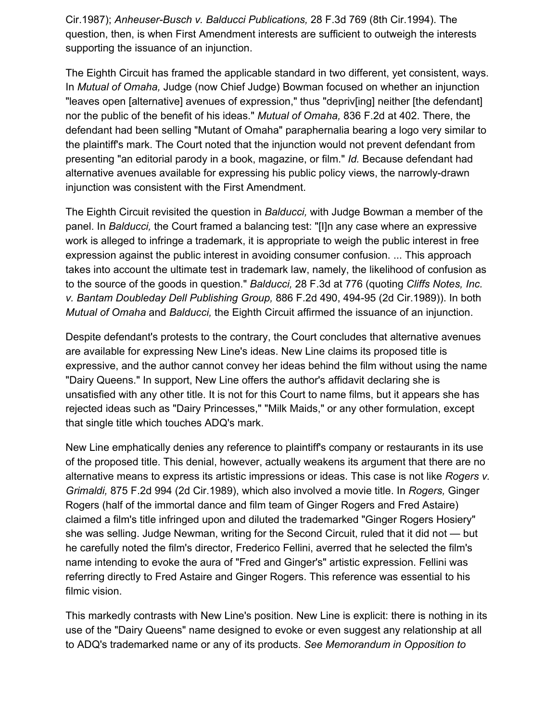Cir.1987); *Anheuser-Busch v. Balducci Publications,* 28 F.3d 769 (8th Cir.1994). The question, then, is when First Amendment interests are sufficient to outweigh the interests supporting the issuance of an injunction.

The Eighth Circuit has framed the applicable standard in two different, yet consistent, ways. In *Mutual of Omaha,* Judge (now Chief Judge) Bowman focused on whether an injunction "leaves open [alternative] avenues of expression," thus "depriv[ing] neither [the defendant] nor the public of the benefit of his ideas." *Mutual of Omaha,* 836 F.2d at 402. There, the defendant had been selling "Mutant of Omaha" paraphernalia bearing a logo very similar to the plaintiff's mark. The Court noted that the injunction would not prevent defendant from presenting "an editorial parody in a book, magazine, or film." *Id.* Because defendant had alternative avenues available for expressing his public policy views, the narrowly-drawn injunction was consistent with the First Amendment.

The Eighth Circuit revisited the question in *Balducci,* with Judge Bowman a member of the panel. In *Balducci,* the Court framed a balancing test: "[I]n any case where an expressive work is alleged to infringe a trademark, it is appropriate to weigh the public interest in free expression against the public interest in avoiding consumer confusion. ... This approach takes into account the ultimate test in trademark law, namely, the likelihood of confusion as to the source of the goods in question." *Balducci,* 28 F.3d at 776 (quoting *Cliffs Notes, Inc. v. Bantam Doubleday Dell Publishing Group,* 886 F.2d 490, 494-95 (2d Cir.1989)). In both *Mutual of Omaha* and *Balducci,* the Eighth Circuit affirmed the issuance of an injunction.

Despite defendant's protests to the contrary, the Court concludes that alternative avenues are available for expressing New Line's ideas. New Line claims its proposed title is expressive, and the author cannot convey her ideas behind the film without using the name "Dairy Queens." In support, New Line offers the author's affidavit declaring she is unsatisfied with any other title. It is not for this Court to name films, but it appears she has rejected ideas such as "Dairy Princesses," "Milk Maids," or any other formulation, except that single title which touches ADQ's mark.

New Line emphatically denies any reference to plaintiff's company or restaurants in its use of the proposed title. This denial, however, actually weakens its argument that there are no alternative means to express its artistic impressions or ideas. This case is not like *Rogers v. Grimaldi,* 875 F.2d 994 (2d Cir.1989), which also involved a movie title. In *Rogers,* Ginger Rogers (half of the immortal dance and film team of Ginger Rogers and Fred Astaire) claimed a film's title infringed upon and diluted the trademarked "Ginger Rogers Hosiery" she was selling. Judge Newman, writing for the Second Circuit, ruled that it did not — but he carefully noted the film's director, Frederico Fellini, averred that he selected the film's name intending to evoke the aura of "Fred and Ginger's" artistic expression. Fellini was referring directly to Fred Astaire and Ginger Rogers. This reference was essential to his filmic vision.

This markedly contrasts with New Line's position. New Line is explicit: there is nothing in its use of the "Dairy Queens" name designed to evoke or even suggest any relationship at all to ADQ's trademarked name or any of its products. *See Memorandum in Opposition to*